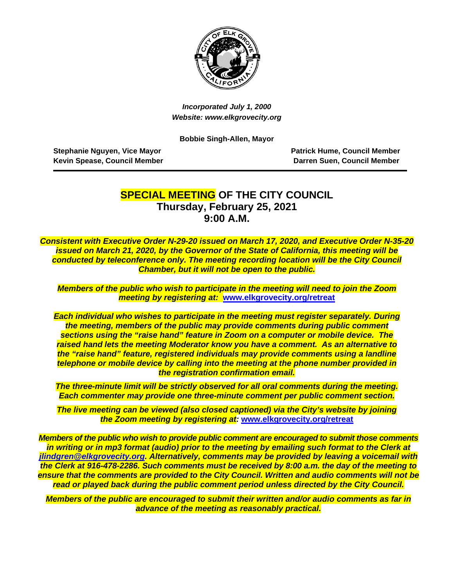

*Incorporated July 1, 2000 Website: www.elkgrovecity.org*

**Bobbie Singh-Allen, Mayor**

**Stephanie Nguyen, Vice Mayor National Stephanie Member Patrick Hume, Council Member Kevin Spease, Council Member National State of Council Member Council Member** 

### **SPECIAL MEETING OF THE CITY COUNCIL Thursday, February 25, 2021 9:00 A.M.**

*Consistent with Executive Order N-29-20 issued on March 17, 2020, and Executive Order N-35-20 issued on March 21, 2020, by the Governor of the State of California, this meeting will be conducted by teleconference only. The meeting recording location will be the City Council Chamber, but it will not be open to the public.*

*Members of the public who wish to participate in the meeting will need to join the Zoom meeting by registering at:* **[www.elkgrovecity.org/retreat](http://www.elkgrovecity.org/retreat)**

*Each individual who wishes to participate in the meeting must register separately. During the meeting, members of the public may provide comments during public comment sections using the "raise hand" feature in Zoom on a computer or mobile device. The raised hand lets the meeting Moderator know you have a comment. As an alternative to the "raise hand" feature, registered individuals may provide comments using a landline telephone or mobile device by calling into the meeting at the phone number provided in the registration confirmation email.*

*The three-minute limit will be strictly observed for all oral comments during the meeting. Each commenter may provide one three-minute comment per public comment section.*

*The live meeting can be viewed (also closed captioned) via the City's website by joining the Zoom meeting by registering at:* **[www.elkgrovecity.org/retreat](http://www.elkgrovecity.org/retreat)**

*Members of the public who wish to provide public comment are encouraged to submit those comments in writing or in mp3 format (audio) prior to the meeting by emailing such format to the Clerk at [jlindgren@elkgrovecity.org.](mailto:jlindgren@elkgrovecity.org) Alternatively, comments may be provided by leaving a voicemail with the Clerk at 916-478-2286. Such comments must be received by 8:00 a.m. the day of the meeting to ensure that the comments are provided to the City Council. Written and audio comments will not be read or played back during the public comment period unless directed by the City Council.* 

*Members of the public are encouraged to submit their written and/or audio comments as far in advance of the meeting as reasonably practical.*